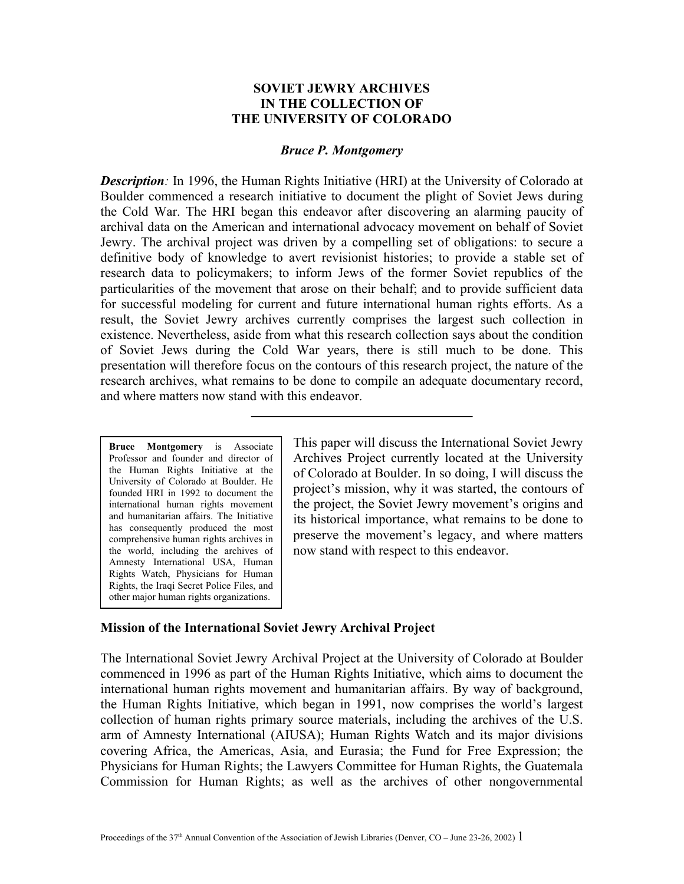# **SOVIET JEWRY ARCHIVES IN THE COLLECTION OF THE UNIVERSITY OF COLORADO**

#### *Bruce P. Montgomery*

*Description*: In 1996, the Human Rights Initiative (HRI) at the University of Colorado at Boulder commenced a research initiative to document the plight of Soviet Jews during the Cold War. The HRI began this endeavor after discovering an alarming paucity of archival data on the American and international advocacy movement on behalf of Soviet Jewry. The archival project was driven by a compelling set of obligations: to secure a definitive body of knowledge to avert revisionist histories; to provide a stable set of research data to policymakers; to inform Jews of the former Soviet republics of the particularities of the movement that arose on their behalf; and to provide sufficient data for successful modeling for current and future international human rights efforts. As a result, the Soviet Jewry archives currently comprises the largest such collection in existence. Nevertheless, aside from what this research collection says about the condition of Soviet Jews during the Cold War years, there is still much to be done. This presentation will therefore focus on the contours of this research project, the nature of the research archives, what remains to be done to compile an adequate documentary record, and where matters now stand with this endeavor.

**Bruce Montgomery** is Associate Professor and founder and director of the Human Rights Initiative at the University of Colorado at Boulder. He founded HRI in 1992 to document the international human rights movement and humanitarian affairs. The Initiative has consequently produced the most comprehensive human rights archives in the world, including the archives of Amnesty International USA, Human Rights Watch, Physicians for Human Rights, the Iraqi Secret Police Files, and other major human rights organizations.

This paper will discuss the International Soviet Jewry Archives Project currently located at the University of Colorado at Boulder. In so doing, I will discuss the project's mission, why it was started, the contours of the project, the Soviet Jewry movement's origins and its historical importance, what remains to be done to preserve the movement's legacy, and where matters now stand with respect to this endeavor.

#### **Mission of the International Soviet Jewry Archival Project**

The International Soviet Jewry Archival Project at the University of Colorado at Boulder commenced in 1996 as part of the Human Rights Initiative, which aims to document the international human rights movement and humanitarian affairs. By way of background, the Human Rights Initiative, which began in 1991, now comprises the world's largest collection of human rights primary source materials, including the archives of the U.S. arm of Amnesty International (AIUSA); Human Rights Watch and its major divisions covering Africa, the Americas, Asia, and Eurasia; the Fund for Free Expression; the Physicians for Human Rights; the Lawyers Committee for Human Rights, the Guatemala Commission for Human Rights; as well as the archives of other nongovernmental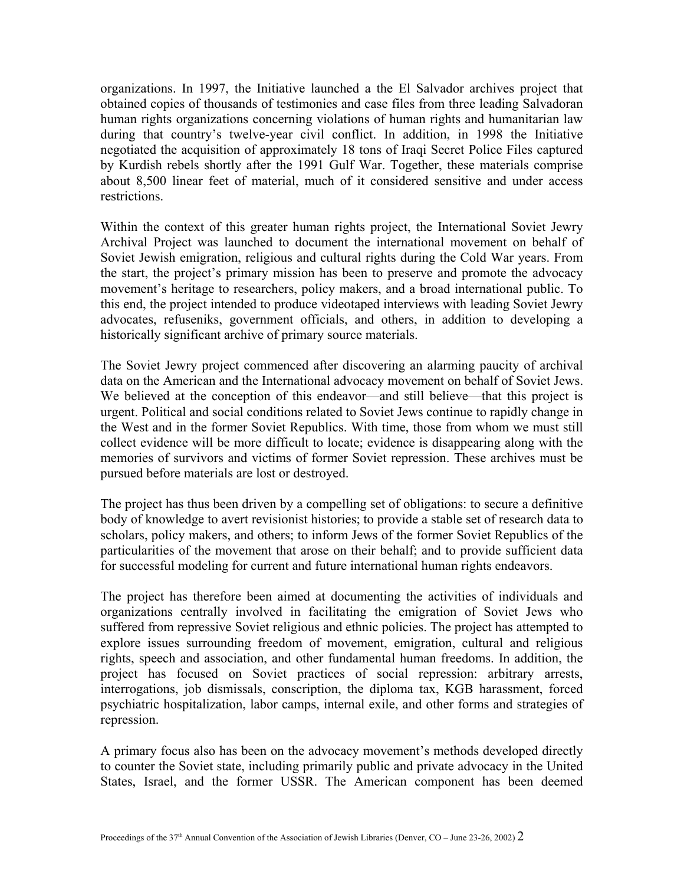organizations. In 1997, the Initiative launched a the El Salvador archives project that obtained copies of thousands of testimonies and case files from three leading Salvadoran human rights organizations concerning violations of human rights and humanitarian law during that country's twelve-year civil conflict. In addition, in 1998 the Initiative negotiated the acquisition of approximately 18 tons of Iraqi Secret Police Files captured by Kurdish rebels shortly after the 1991 Gulf War. Together, these materials comprise about 8,500 linear feet of material, much of it considered sensitive and under access restrictions.

Within the context of this greater human rights project, the International Soviet Jewry Archival Project was launched to document the international movement on behalf of Soviet Jewish emigration, religious and cultural rights during the Cold War years. From the start, the project's primary mission has been to preserve and promote the advocacy movement's heritage to researchers, policy makers, and a broad international public. To this end, the project intended to produce videotaped interviews with leading Soviet Jewry advocates, refuseniks, government officials, and others, in addition to developing a historically significant archive of primary source materials.

The Soviet Jewry project commenced after discovering an alarming paucity of archival data on the American and the International advocacy movement on behalf of Soviet Jews. We believed at the conception of this endeavor—and still believe—that this project is urgent. Political and social conditions related to Soviet Jews continue to rapidly change in the West and in the former Soviet Republics. With time, those from whom we must still collect evidence will be more difficult to locate; evidence is disappearing along with the memories of survivors and victims of former Soviet repression. These archives must be pursued before materials are lost or destroyed.

The project has thus been driven by a compelling set of obligations: to secure a definitive body of knowledge to avert revisionist histories; to provide a stable set of research data to scholars, policy makers, and others; to inform Jews of the former Soviet Republics of the particularities of the movement that arose on their behalf; and to provide sufficient data for successful modeling for current and future international human rights endeavors.

The project has therefore been aimed at documenting the activities of individuals and organizations centrally involved in facilitating the emigration of Soviet Jews who suffered from repressive Soviet religious and ethnic policies. The project has attempted to explore issues surrounding freedom of movement, emigration, cultural and religious rights, speech and association, and other fundamental human freedoms. In addition, the project has focused on Soviet practices of social repression: arbitrary arrests, interrogations, job dismissals, conscription, the diploma tax, KGB harassment, forced psychiatric hospitalization, labor camps, internal exile, and other forms and strategies of repression.

A primary focus also has been on the advocacy movement's methods developed directly to counter the Soviet state, including primarily public and private advocacy in the United States, Israel, and the former USSR. The American component has been deemed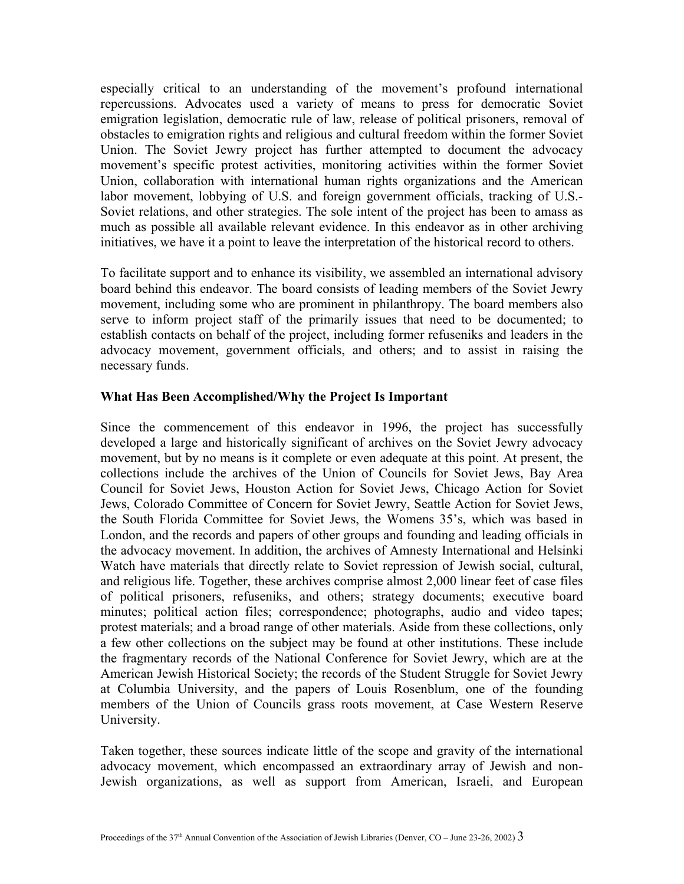especially critical to an understanding of the movement's profound international repercussions. Advocates used a variety of means to press for democratic Soviet emigration legislation, democratic rule of law, release of political prisoners, removal of obstacles to emigration rights and religious and cultural freedom within the former Soviet Union. The Soviet Jewry project has further attempted to document the advocacy movement's specific protest activities, monitoring activities within the former Soviet Union, collaboration with international human rights organizations and the American labor movement, lobbying of U.S. and foreign government officials, tracking of U.S.- Soviet relations, and other strategies. The sole intent of the project has been to amass as much as possible all available relevant evidence. In this endeavor as in other archiving initiatives, we have it a point to leave the interpretation of the historical record to others.

To facilitate support and to enhance its visibility, we assembled an international advisory board behind this endeavor. The board consists of leading members of the Soviet Jewry movement, including some who are prominent in philanthropy. The board members also serve to inform project staff of the primarily issues that need to be documented; to establish contacts on behalf of the project, including former refuseniks and leaders in the advocacy movement, government officials, and others; and to assist in raising the necessary funds.

# **What Has Been Accomplished/Why the Project Is Important**

Since the commencement of this endeavor in 1996, the project has successfully developed a large and historically significant of archives on the Soviet Jewry advocacy movement, but by no means is it complete or even adequate at this point. At present, the collections include the archives of the Union of Councils for Soviet Jews, Bay Area Council for Soviet Jews, Houston Action for Soviet Jews, Chicago Action for Soviet Jews, Colorado Committee of Concern for Soviet Jewry, Seattle Action for Soviet Jews, the South Florida Committee for Soviet Jews, the Womens 35's, which was based in London, and the records and papers of other groups and founding and leading officials in the advocacy movement. In addition, the archives of Amnesty International and Helsinki Watch have materials that directly relate to Soviet repression of Jewish social, cultural, and religious life. Together, these archives comprise almost 2,000 linear feet of case files of political prisoners, refuseniks, and others; strategy documents; executive board minutes; political action files; correspondence; photographs, audio and video tapes; protest materials; and a broad range of other materials. Aside from these collections, only a few other collections on the subject may be found at other institutions. These include the fragmentary records of the National Conference for Soviet Jewry, which are at the American Jewish Historical Society; the records of the Student Struggle for Soviet Jewry at Columbia University, and the papers of Louis Rosenblum, one of the founding members of the Union of Councils grass roots movement, at Case Western Reserve University.

Taken together, these sources indicate little of the scope and gravity of the international advocacy movement, which encompassed an extraordinary array of Jewish and non-Jewish organizations, as well as support from American, Israeli, and European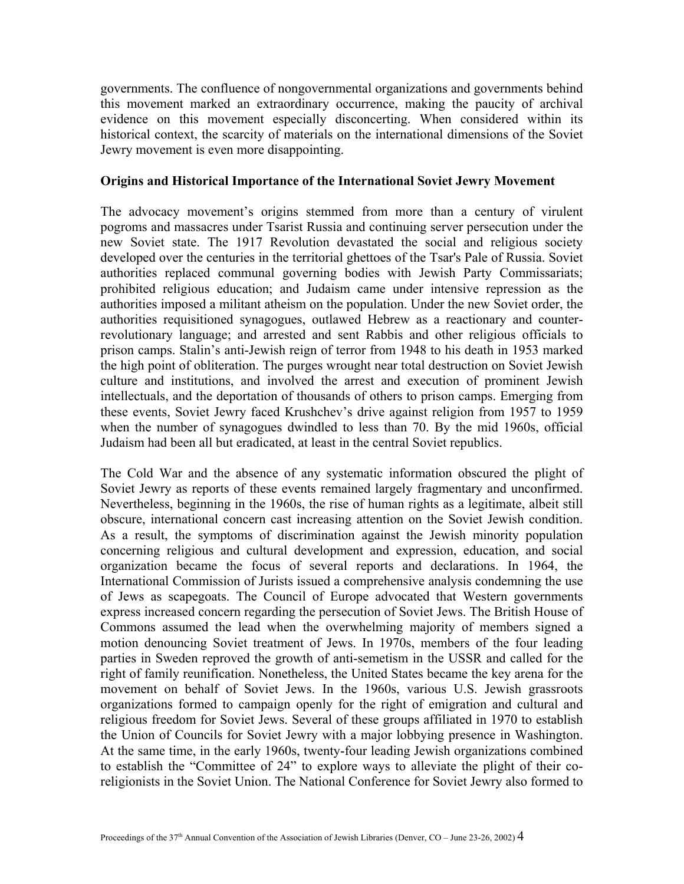governments. The confluence of nongovernmental organizations and governments behind this movement marked an extraordinary occurrence, making the paucity of archival evidence on this movement especially disconcerting. When considered within its historical context, the scarcity of materials on the international dimensions of the Soviet Jewry movement is even more disappointing.

### **Origins and Historical Importance of the International Soviet Jewry Movement**

The advocacy movement's origins stemmed from more than a century of virulent pogroms and massacres under Tsarist Russia and continuing server persecution under the new Soviet state. The 1917 Revolution devastated the social and religious society developed over the centuries in the territorial ghettoes of the Tsar's Pale of Russia. Soviet authorities replaced communal governing bodies with Jewish Party Commissariats; prohibited religious education; and Judaism came under intensive repression as the authorities imposed a militant atheism on the population. Under the new Soviet order, the authorities requisitioned synagogues, outlawed Hebrew as a reactionary and counterrevolutionary language; and arrested and sent Rabbis and other religious officials to prison camps. Stalin's anti-Jewish reign of terror from 1948 to his death in 1953 marked the high point of obliteration. The purges wrought near total destruction on Soviet Jewish culture and institutions, and involved the arrest and execution of prominent Jewish intellectuals, and the deportation of thousands of others to prison camps. Emerging from these events, Soviet Jewry faced Krushchev's drive against religion from 1957 to 1959 when the number of synagogues dwindled to less than 70. By the mid 1960s, official Judaism had been all but eradicated, at least in the central Soviet republics.

The Cold War and the absence of any systematic information obscured the plight of Soviet Jewry as reports of these events remained largely fragmentary and unconfirmed. Nevertheless, beginning in the 1960s, the rise of human rights as a legitimate, albeit still obscure, international concern cast increasing attention on the Soviet Jewish condition. As a result, the symptoms of discrimination against the Jewish minority population concerning religious and cultural development and expression, education, and social organization became the focus of several reports and declarations. In 1964, the International Commission of Jurists issued a comprehensive analysis condemning the use of Jews as scapegoats. The Council of Europe advocated that Western governments express increased concern regarding the persecution of Soviet Jews. The British House of Commons assumed the lead when the overwhelming majority of members signed a motion denouncing Soviet treatment of Jews. In 1970s, members of the four leading parties in Sweden reproved the growth of anti-semetism in the USSR and called for the right of family reunification. Nonetheless, the United States became the key arena for the movement on behalf of Soviet Jews. In the 1960s, various U.S. Jewish grassroots organizations formed to campaign openly for the right of emigration and cultural and religious freedom for Soviet Jews. Several of these groups affiliated in 1970 to establish the Union of Councils for Soviet Jewry with a major lobbying presence in Washington. At the same time, in the early 1960s, twenty-four leading Jewish organizations combined to establish the "Committee of 24" to explore ways to alleviate the plight of their coreligionists in the Soviet Union. The National Conference for Soviet Jewry also formed to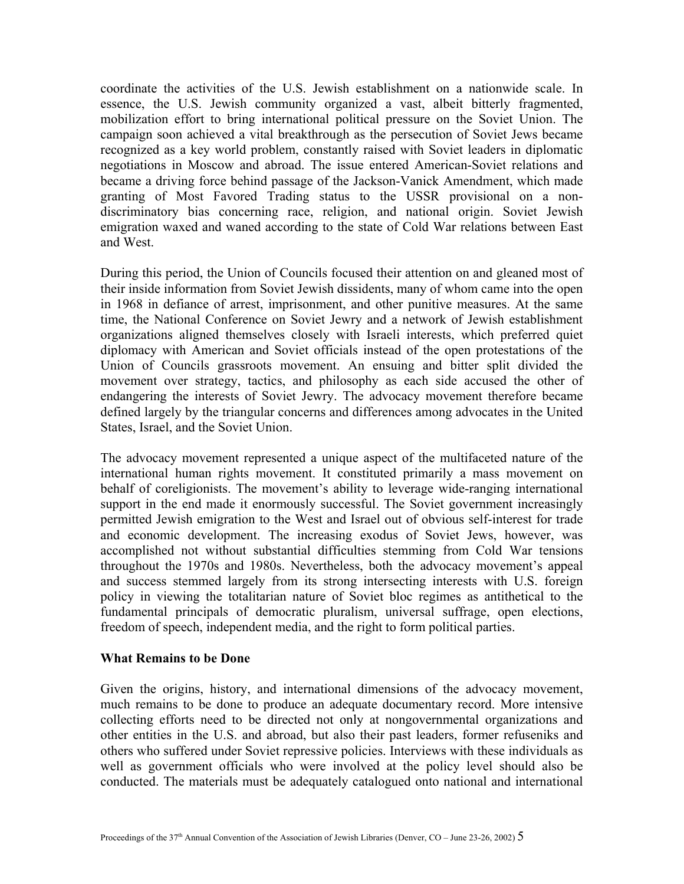coordinate the activities of the U.S. Jewish establishment on a nationwide scale. In essence, the U.S. Jewish community organized a vast, albeit bitterly fragmented, mobilization effort to bring international political pressure on the Soviet Union. The campaign soon achieved a vital breakthrough as the persecution of Soviet Jews became recognized as a key world problem, constantly raised with Soviet leaders in diplomatic negotiations in Moscow and abroad. The issue entered American-Soviet relations and became a driving force behind passage of the Jackson-Vanick Amendment, which made granting of Most Favored Trading status to the USSR provisional on a nondiscriminatory bias concerning race, religion, and national origin. Soviet Jewish emigration waxed and waned according to the state of Cold War relations between East and West.

During this period, the Union of Councils focused their attention on and gleaned most of their inside information from Soviet Jewish dissidents, many of whom came into the open in 1968 in defiance of arrest, imprisonment, and other punitive measures. At the same time, the National Conference on Soviet Jewry and a network of Jewish establishment organizations aligned themselves closely with Israeli interests, which preferred quiet diplomacy with American and Soviet officials instead of the open protestations of the Union of Councils grassroots movement. An ensuing and bitter split divided the movement over strategy, tactics, and philosophy as each side accused the other of endangering the interests of Soviet Jewry. The advocacy movement therefore became defined largely by the triangular concerns and differences among advocates in the United States, Israel, and the Soviet Union.

The advocacy movement represented a unique aspect of the multifaceted nature of the international human rights movement. It constituted primarily a mass movement on behalf of coreligionists. The movement's ability to leverage wide-ranging international support in the end made it enormously successful. The Soviet government increasingly permitted Jewish emigration to the West and Israel out of obvious self-interest for trade and economic development. The increasing exodus of Soviet Jews, however, was accomplished not without substantial difficulties stemming from Cold War tensions throughout the 1970s and 1980s. Nevertheless, both the advocacy movement's appeal and success stemmed largely from its strong intersecting interests with U.S. foreign policy in viewing the totalitarian nature of Soviet bloc regimes as antithetical to the fundamental principals of democratic pluralism, universal suffrage, open elections, freedom of speech, independent media, and the right to form political parties.

# **What Remains to be Done**

Given the origins, history, and international dimensions of the advocacy movement, much remains to be done to produce an adequate documentary record. More intensive collecting efforts need to be directed not only at nongovernmental organizations and other entities in the U.S. and abroad, but also their past leaders, former refuseniks and others who suffered under Soviet repressive policies. Interviews with these individuals as well as government officials who were involved at the policy level should also be conducted. The materials must be adequately catalogued onto national and international